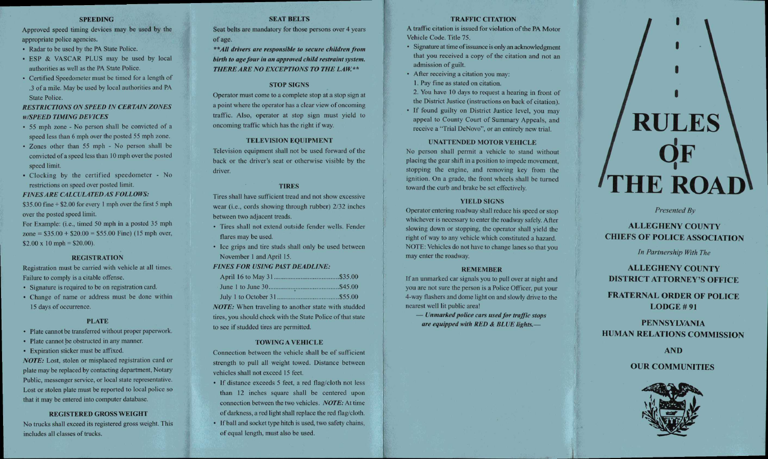#### **SPEEDING**

Approved speed timing devices may be used by the appropriate police agencies.

- Radar to be used by the PA State Police.
- ESP & VASCAR PLUS may be used by local authorities as well as the PA State Police.
- Certified Speedometer must be timed for a length of .3 of a mile. May be used by local authorities and PA State Police.

## *RESTRICTIONS ON SPEED IN CERTAIN ZONES w/SPEED TIMING DEVICES*

- 55 mph zone No person shall be convicted of a speed less than 6 mph over the posted 55 mph zone.
- Zones other than 55 mph No person shall be convicted of a speed less than 10 mph over the posted speed limit.
- Clocking by the certified speedometer No restrictions on speed over posted limit.

## *FINES ARE CALCULATED AS FOLLOWS:*

\$35.00 fine + \$2.00 for every 1 mph over the first 5 mph over the posted speed limit.

For Example: (i.e., timed 50 mph in a posted 35 mph zone =  $$35.00 + $20.00 = $55.00$  Fine) (15 mph over,  $$2.00 \times 10$  mph = \$20.00).

#### **REGISTRATION**

Registration must be carried with vehicle at all times. Failure to comply is a citable offense.

- Signature is required to be on registration card.
- Change of name or address must be done within 15 days of occurrence.

## **PLATE**

- Plate cannot be transferred without proper paperwork.
- Plate cannot be obstructed in any manner.
- Expiration sticker must be affixed.

*NOTE:* Lost, stolen or misplaced registration card or plate may be replaced by contacting department, Notary Public, messenger service, or local state representative. Lost or stolen plate must be reported to local police so that it may be entered into computer database.

## **REGISTERED GROSS WEIGHT**

No trucks shall exceed its registered gross weight. This includes all classes of trucks.

## **SEAT BELTS**

Seat belts are mandatory for those persons over 4 years of age.

*\*\*All drivers are responsible to secure children from birth to age four in an approved child restraint system.*  **THERE ARE NO EXCEPTIONS TO THE LAW.\*\*** 

## **STOP SIGNS**

Operator must come to a complete stop at a stop sign at a point where the operator has a clear view of oncoming traffic. Also, operator at stop sign must yield to oncoming traffic which has the right if way.

## **TELEVISION EQUIPMENT**

Television equipment shall not be used forward of the back or the driver's seat or otherwise visible by the driver.

## **TIRES**

Tires shall have sufficient tread and not show excessive wear (i.e., cords showing through rubber) 2/32 inches between two adjacent treads.

- Tires shall not extend outside fender wells. Fender flares may be used.
- Ice grips and tire studs shall only be used between November 1 and April 15.

#### *FINES FOR USING PAST DEADLINE:*

to see if studded tires are permitted.

| <b>NOTE:</b> When traveling to another state with studded   |  |
|-------------------------------------------------------------|--|
| tires, you should check with the State Police of that state |  |

**TOWING A VEHICLE** 

Connection between the vehicle shall be of sufficient strength to pull all weight towed. Distance between vehicles shall not exceed 15 feet.

- If distance exceeds 5 feet, a red flag/cloth not less than 12 inches square shall be centered upon connection between the two vehicles. *NOTE:* At time of darkness, a red light shall replace the red flag/cloth.
- If ball and socket type hitch is used, two safety chains, of equal length, must also be used.

## **TRAFFIC CITATION**

A traffic citation is issued for violation of the PA Motor Vehicle Code. Title 75.

- Signature at time of issuance is only an acknowledgment that you received a copy of the citation and not an admission of guilt.
- After receiving a citation you may:
- 1. Pay fine as stated on citation.

2. You have 10 days to request a hearing in front of the District Justice (instructions on back of citation).

• If found guilty on District Justice level, you may appeal to County Court of Summary Appeals, and receive a "Trial DeNovo", or an entirely new trial.

#### **UNATTENDED MOTOR VEHICLE**

No person shall permit a vehicle to stand without placing the gear shift in a position to impede movement, stopping the engine, and removing key from the ignition. On a grade, the front wheels shall be turned toward the curb and brake be set effectively.

## **YIELD SIGNS**

Operator entering roadway shall reduce his speed or stop whichever is necessary to enter the roadway safely. After slowing down or stopping, the operator shall yield the right of way to any vehicle which constituted a hazard. NOTE: Vehicles do not have to change lanes so that you may enter the roadway.

#### **REMEMBER**

If an unmarked car signals you to pull over at night and you are not sure the person is a Police Officer, put your 4-way flashers and dome light on and slowly drive to the nearest well lit public area!

— Unmarked police cars used for traffic stops are equipped with RED & BLUE lights.-

# **RULES QF THE ROAD**

*Presented By* 

## ALLEGHENY COUNTY CHIEFS OF POLICE ASSOCIATION

*In Partnership With The* 

ALLEGHENY COUNTY DISTRICT ATTORNEY'S OFFICE

FRATERNAL ORDER OF POLICE LODGE # 91

PENNSYLVANIA HUMAN RELATIONS COMMISSION

AND

OUR COMMUNITIES